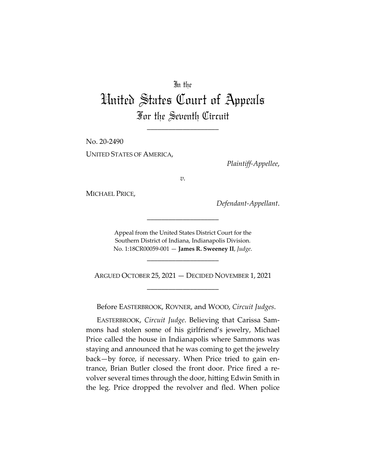## In the

## United States Court of Appeals For the Seventh Circuit

\_\_\_\_\_\_\_\_\_\_\_\_\_\_\_\_\_\_\_\_

No. 20-2490 UNITED STATES OF AMERICA,

*Plaintiff-Appellee*,

*v.*

MICHAEL PRICE,

*Defendant-Appellant*.

Appeal from the United States District Court for the Southern District of Indiana, Indianapolis Division. No. 1:18CR00059-001 — **James R. Sweeney II**, *Judge*.

\_\_\_\_\_\_\_\_\_\_\_\_\_\_\_\_\_\_\_\_

\_\_\_\_\_\_\_\_\_\_\_\_\_\_\_\_\_\_\_\_

ARGUED OCTOBER 25, 2021 — DECIDED NOVEMBER 1, 2021 \_\_\_\_\_\_\_\_\_\_\_\_\_\_\_\_\_\_\_\_

Before EASTERBROOK, ROVNER, and WOOD, *Circuit Judges*.

EASTERBROOK, *Circuit Judge*. Believing that Carissa Sammons had stolen some of his girlfriend's jewelry, Michael Price called the house in Indianapolis where Sammons was staying and announced that he was coming to get the jewelry back—by force, if necessary. When Price tried to gain entrance, Brian Butler closed the front door. Price fired a revolver several times through the door, hitting Edwin Smith in the leg. Price dropped the revolver and fled. When police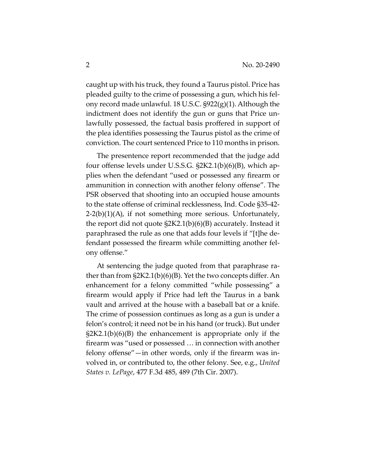caught up with his truck, they found a Taurus pistol. Price has pleaded guilty to the crime of possessing a gun, which his felony record made unlawful. 18 U.S.C. §922(g)(1). Although the indictment does not identify the gun or guns that Price unlawfully possessed, the factual basis proffered in support of the plea identifies possessing the Taurus pistol as the crime of conviction. The court sentenced Price to 110 months in prison.

The presentence report recommended that the judge add four offense levels under U.S.S.G. §2K2.1(b)(6)(B), which applies when the defendant "used or possessed any firearm or ammunition in connection with another felony offense". The PSR observed that shooting into an occupied house amounts to the state offense of criminal recklessness, Ind. Code §35-42-  $2-2(b)(1)(A)$ , if not something more serious. Unfortunately, the report did not quote §2K2.1(b)(6)(B) accurately. Instead it paraphrased the rule as one that adds four levels if "[t]he defendant possessed the firearm while committing another felony offense."

At sentencing the judge quoted from that paraphrase rather than from §2K2.1(b)(6)(B). Yet the two concepts differ. An enhancement for a felony committed "while possessing" a firearm would apply if Price had left the Taurus in a bank vault and arrived at the house with a baseball bat or a knife. The crime of possession continues as long as a gun is under a felon's control; it need not be in his hand (or truck). But under §2K2.1(b)(6)(B) the enhancement is appropriate only if the firearm was "used or possessed … in connection with another felony offense"—in other words, only if the firearm was involved in, or contributed to, the other felony. See, e.g., *United States v. LePage*, 477 F.3d 485, 489 (7th Cir. 2007).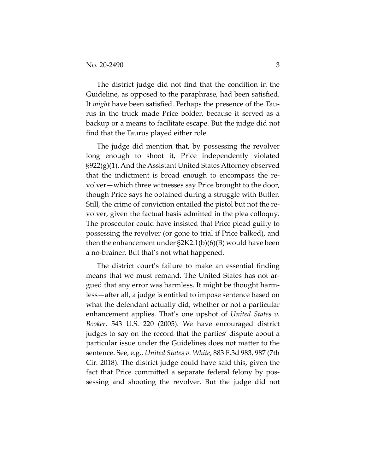The district judge did not find that the condition in the Guideline, as opposed to the paraphrase, had been satisfied. It *might* have been satisfied. Perhaps the presence of the Taurus in the truck made Price bolder, because it served as a backup or a means to facilitate escape. But the judge did not find that the Taurus played either role.

The judge did mention that, by possessing the revolver long enough to shoot it, Price independently violated  $\S922(g)(1)$ . And the Assistant United States Attorney observed that the indictment is broad enough to encompass the revolver—which three witnesses say Price brought to the door, though Price says he obtained during a struggle with Butler. Still, the crime of conviction entailed the pistol but not the revolver, given the factual basis admitted in the plea colloquy. The prosecutor could have insisted that Price plead guilty to possessing the revolver (or gone to trial if Price balked), and then the enhancement under §2K2.1(b)(6)(B) would have been a no-brainer. But that's not what happened.

The district court's failure to make an essential finding means that we must remand. The United States has not argued that any error was harmless. It might be thought harmless—after all, a judge is entitled to impose sentence based on what the defendant actually did, whether or not a particular enhancement applies. That's one upshot of *United States v. Booker*, 543 U.S. 220 (2005). We have encouraged district judges to say on the record that the parties' dispute about a particular issue under the Guidelines does not matter to the sentence. See, e.g., *United States v. White*, 883 F.3d 983, 987 (7th Cir. 2018). The district judge could have said this, given the fact that Price committed a separate federal felony by possessing and shooting the revolver. But the judge did not